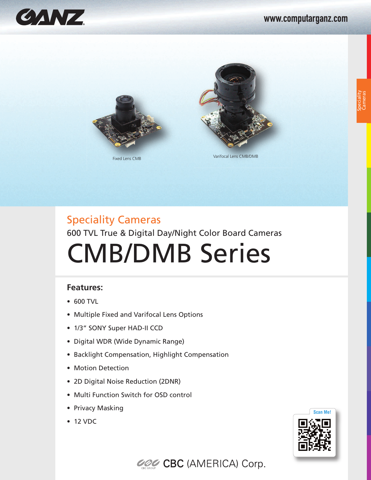







Fixed Lens CMB Varifocal Lens CMB/DMB

# Speciality Cameras 600 TVL True & Digital Day/Night Color Board Cameras CMB/DMB Series

### **Features:**

- 600 TVL
- Multiple Fixed and Varifocal Lens Options
- 1/3" SONY Super HAD-II CCD
- Digital WDR (Wide Dynamic Range)
- Backlight Compensation, Highlight Compensation
- Motion Detection
- 2D Digital Noise Reduction (2DNR)
- Multi Function Switch for OSD control
- Privacy Masking
- 12 VDC